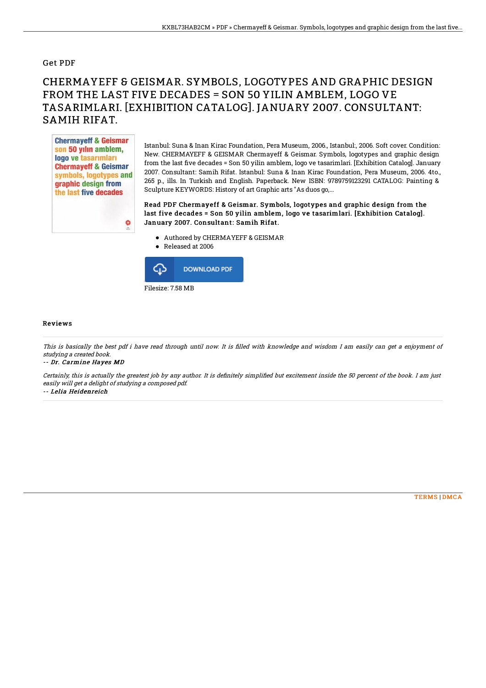#### Get PDF

# CHERMAYEFF & GEISMAR. SYMBOLS, LOGOTYPES AND GRAPHIC DESIGN FROM THE LAST FIVE DECADES = SON 50 YILIN AMBLEM, LOGO VE TASARIMLARI. [EXHIBITION CATALOG]. JANUARY 2007. CONSULTANT: SAMIH RIFAT.



Istanbul: Suna & Inan Kirac Foundation, Pera Museum, 2006., Istanbul:, 2006. Soft cover. Condition: New. CHERMAYEFF & GEISMAR Chermayeff & Geismar. Symbols, logotypes and graphic design from the last five decades = Son 50 yilin amblem, logo ve tasarimlari. [Exhibition Catalog]. January 2007. Consultant: Samih Rifat. Istanbul: Suna & Inan Kirac Foundation, Pera Museum, 2006. 4to., 265 p., ills. In Turkish and English. Paperback. New ISBN: 9789759123291 CATALOG: Painting & Sculpture KEYWORDS: History of art Graphic arts "As duos go,...

### Read PDF Chermayeff & Geismar. Symbols, logotypes and graphic design from the last five decades = Son 50 yilin amblem, logo ve tasarimlari. [Exhibition Catalog]. January 2007. Consultant: Samih Rifat.

- Authored by CHERMAYEFF & GEISMAR
- Released at 2006



#### Reviews

This is basically the best pdf i have read through until now. It is filled with knowledge and wisdom I am easily can get a enjoyment of studying <sup>a</sup> created book.

-- Dr. Carmine Hayes MD

Certainly, this is actually the greatest job by any author. It is definitely simplified but excitement inside the 50 percent of the book. I am just easily will get <sup>a</sup> delight of studying <sup>a</sup> composed pdf.

-- Lelia Heidenreich